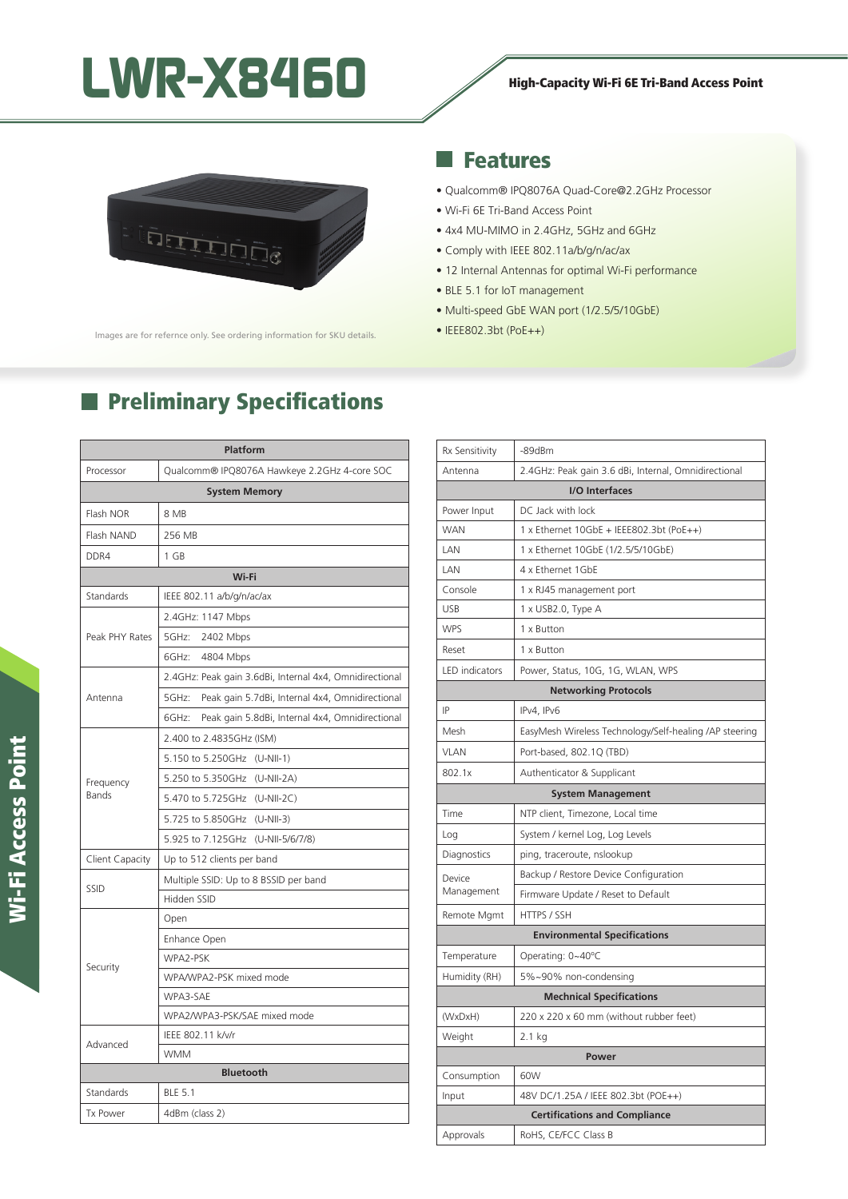# LWR-X8460 High-Capacity Wi-Fi 6E Tri-Band Access Point



lmages are for refernce only. See ordering information for SKU details.

### Features

- Qualcomm® IPQ8076A Quad-Core@2.2GHz Processor
- Wi-Fi 6E Tri-Band Access Point
- 4x4 MU-MIMO in 2.4GHz, 5GHz and 6GHz
- Comply with IEEE 802.11a/b/g/n/ac/ax
- 12 Internal Antennas for optimal Wi-Fi performance
- BLE 5.1 for IoT management
- Multi-speed GbE WAN port (1/2.5/5/10GbE)
- IEEE802.3bt (PoE++)

| Platform                  |                                                          |
|---------------------------|----------------------------------------------------------|
| Processor                 | Qualcomm® IPQ8076A Hawkeye 2.2GHz 4-core SOC             |
| <b>System Memory</b>      |                                                          |
| Flash NOR                 | 8 MB                                                     |
| Flash NAND                | 256 MB                                                   |
| DDR4                      | 1 GB                                                     |
|                           | Wi-Fi                                                    |
| Standards                 | IEEE 802.11 a/b/g/n/ac/ax                                |
| Peak PHY Rates            | 2.4GHz: 1147 Mbps                                        |
|                           | 5GHz:<br>2402 Mbps                                       |
|                           | 6GHz:<br>4804 Mbps                                       |
| Antenna                   | 2.4GHz: Peak gain 3.6dBi, Internal 4x4, Omnidirectional  |
|                           | 5GHz:<br>Peak gain 5.7dBi, Internal 4x4, Omnidirectional |
|                           | Peak gain 5.8dBi, Internal 4x4, Omnidirectional<br>6GHz: |
| Frequency<br><b>Bands</b> | 2.400 to 2.4835GHz (ISM)                                 |
|                           | 5.150 to 5.250GHz (U-NII-1)                              |
|                           | 5.250 to 5.350GHz (U-NII-2A)                             |
|                           | 5.470 to 5.725GHz (U-NII-2C)                             |
|                           | 5.725 to 5.850GHz (U-NII-3)                              |
|                           | 5.925 to 7.125GHz (U-NII-5/6/7/8)                        |
| Client Capacity           | Up to 512 clients per band                               |
| SSID                      | Multiple SSID: Up to 8 BSSID per band                    |
|                           | Hidden SSID                                              |
| Security                  | Open                                                     |
|                           | Enhance Open                                             |
|                           | WPA2-PSK                                                 |
|                           | WPA/WPA2-PSK mixed mode                                  |
|                           | WPA3-SAE                                                 |
|                           | WPA2/WPA3-PSK/SAE mixed mode                             |
| Advanced                  | IEEE 802.11 k/v/r                                        |
|                           | <b>WMM</b>                                               |
|                           | <b>Bluetooth</b>                                         |
| Standards                 | <b>BLE 5.1</b>                                           |
| <b>Tx Power</b>           | 4dBm (class 2)                                           |

## **Preliminary Specifications**

| Rx Sensitivity                       | -89dBm                                                 |  |
|--------------------------------------|--------------------------------------------------------|--|
| Antenna                              | 2.4GHz: Peak gain 3.6 dBi, Internal, Omnidirectional   |  |
| I/O Interfaces                       |                                                        |  |
| Power Input                          | DC Jack with lock                                      |  |
| <b>WAN</b>                           | 1 x Ethernet 10GbE + IEEE802.3bt (PoE++)               |  |
| LAN                                  | 1 x Ethernet 10GbE (1/2.5/5/10GbE)                     |  |
| LAN                                  | 4 x Ethernet 1GbE                                      |  |
| Console                              | 1 x RJ45 management port                               |  |
| <b>USB</b>                           | 1 x USB2.0, Type A                                     |  |
| <b>WPS</b>                           | 1 x Button                                             |  |
| Reset                                | 1 x Button                                             |  |
| LED indicators                       | Power, Status, 10G, 1G, WLAN, WPS                      |  |
| <b>Networking Protocols</b>          |                                                        |  |
| IP                                   | IPv4, IPv6                                             |  |
| Mesh                                 | EasyMesh Wireless Technology/Self-healing /AP steering |  |
| <b>VLAN</b>                          | Port-based, 802.1Q (TBD)                               |  |
| 802.1x                               | Authenticator & Supplicant                             |  |
|                                      | <b>System Management</b>                               |  |
| Time                                 | NTP client, Timezone, Local time                       |  |
| Log                                  | System / kernel Log, Log Levels                        |  |
| Diagnostics                          | ping, traceroute, nslookup                             |  |
| Device<br>Management                 | Backup / Restore Device Configuration                  |  |
|                                      | Firmware Update / Reset to Default                     |  |
| Remote Mgmt                          | HTTPS / SSH                                            |  |
| <b>Environmental Specifications</b>  |                                                        |  |
| Temperature                          | Operating: 0~40°C                                      |  |
| Humidity (RH)                        | 5%~90% non-condensing                                  |  |
| <b>Mechnical Specifications</b>      |                                                        |  |
| (WxDxH)                              | 220 x 220 x 60 mm (without rubber feet)                |  |
| Weight                               | 2.1 kg                                                 |  |
| Power                                |                                                        |  |
| Consumption                          | 60W                                                    |  |
| Input                                | 48V DC/1.25A / IEEE 802.3bt (POE++)                    |  |
| <b>Certifications and Compliance</b> |                                                        |  |
| Approvals                            | RoHS, CE/FCC Class B                                   |  |